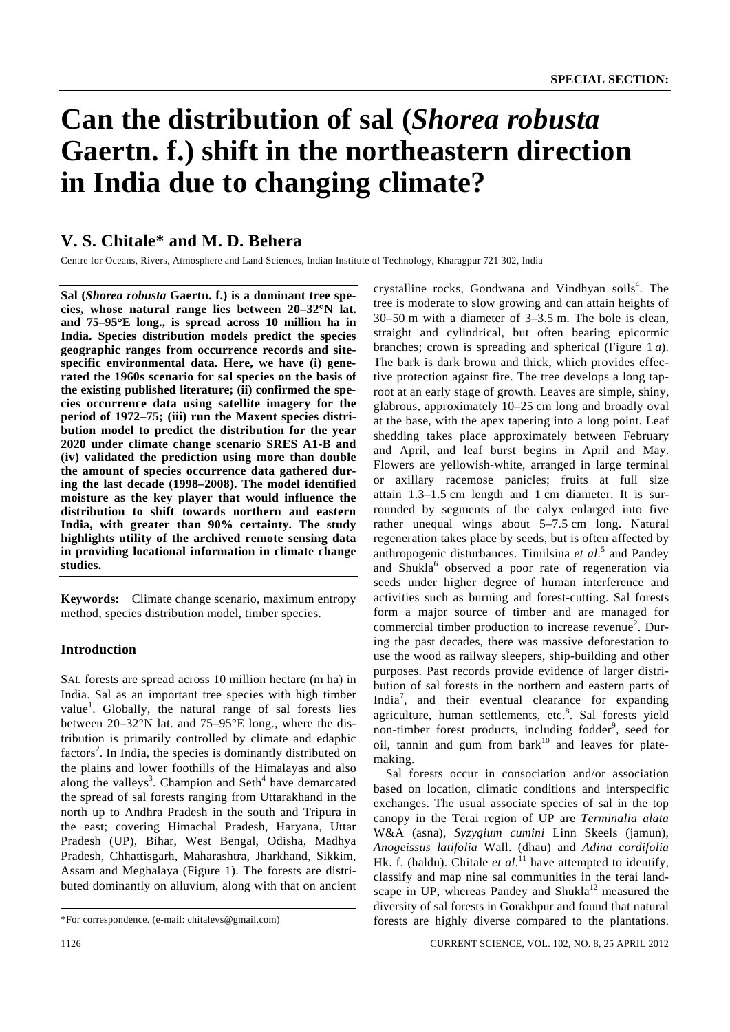# **Can the distribution of sal (***Shorea robusta* **Gaertn. f.) shift in the northeastern direction in India due to changing climate?**

# **V. S. Chitale\* and M. D. Behera**

Centre for Oceans, Rivers, Atmosphere and Land Sciences, Indian Institute of Technology, Kharagpur 721 302, India

**Sal (***Shorea robusta* **Gaertn. f.) is a dominant tree species, whose natural range lies between 20–32**°**N lat. and 75–95**°**E long., is spread across 10 million ha in India. Species distribution models predict the species geographic ranges from occurrence records and sitespecific environmental data. Here, we have (i) generated the 1960s scenario for sal species on the basis of the existing published literature; (ii) confirmed the species occurrence data using satellite imagery for the period of 1972–75; (iii) run the Maxent species distribution model to predict the distribution for the year 2020 under climate change scenario SRES A1-B and (iv) validated the prediction using more than double the amount of species occurrence data gathered during the last decade (1998–2008). The model identified moisture as the key player that would influence the distribution to shift towards northern and eastern India, with greater than 90% certainty. The study highlights utility of the archived remote sensing data in providing locational information in climate change studies.** 

**Keywords:** Climate change scenario, maximum entropy method, species distribution model, timber species.

# **Introduction**

SAL forests are spread across 10 million hectare (m ha) in India. Sal as an important tree species with high timber value<sup>1</sup>. Globally, the natural range of sal forests lies between 20–32°N lat. and 75–95°E long., where the distribution is primarily controlled by climate and edaphic factors<sup>2</sup>. In India, the species is dominantly distributed on the plains and lower foothills of the Himalayas and also along the valleys<sup>3</sup>. Champion and Seth<sup>4</sup> have demarcated the spread of sal forests ranging from Uttarakhand in the north up to Andhra Pradesh in the south and Tripura in the east; covering Himachal Pradesh, Haryana, Uttar Pradesh (UP), Bihar, West Bengal, Odisha, Madhya Pradesh, Chhattisgarh, Maharashtra, Jharkhand, Sikkim, Assam and Meghalaya (Figure 1). The forests are distributed dominantly on alluvium, along with that on ancient

crystalline rocks, Gondwana and Vindhyan soils<sup>4</sup>. The tree is moderate to slow growing and can attain heights of 30–50 m with a diameter of 3–3.5 m. The bole is clean, straight and cylindrical, but often bearing epicormic branches; crown is spreading and spherical (Figure 1 *a*). The bark is dark brown and thick, which provides effective protection against fire. The tree develops a long taproot at an early stage of growth. Leaves are simple, shiny, glabrous, approximately 10–25 cm long and broadly oval at the base, with the apex tapering into a long point. Leaf shedding takes place approximately between February and April, and leaf burst begins in April and May. Flowers are yellowish-white, arranged in large terminal or axillary racemose panicles; fruits at full size attain 1.3–1.5 cm length and 1 cm diameter. It is surrounded by segments of the calyx enlarged into five rather unequal wings about 5–7.5 cm long. Natural regeneration takes place by seeds, but is often affected by anthropogenic disturbances. Timilsina *et al*. 5 and Pandey and Shukla<sup>6</sup> observed a poor rate of regeneration via seeds under higher degree of human interference and activities such as burning and forest-cutting. Sal forests form a major source of timber and are managed for commercial timber production to increase revenue<sup>2</sup>. During the past decades, there was massive deforestation to use the wood as railway sleepers, ship-building and other purposes. Past records provide evidence of larger distribution of sal forests in the northern and eastern parts of India<sup>7</sup>, and their eventual clearance for expanding agriculture, human settlements, etc.<sup>8</sup>. Sal forests yield non-timber forest products, including fodder<sup>9</sup>, seed for oil, tannin and gum from  $bar k$ <sup>10</sup> and leaves for platemaking.

 Sal forests occur in consociation and/or association based on location, climatic conditions and interspecific exchanges. The usual associate species of sal in the top canopy in the Terai region of UP are *Terminalia alata* W&A (asna), *Syzygium cumini* Linn Skeels (jamun), *Anogeissus latifolia* Wall. (dhau) and *Adina cordifolia* Hk. f. (haldu). Chitale *et al*.<sup>11</sup> have attempted to identify, classify and map nine sal communities in the terai landscape in UP, whereas Pandey and Shukla<sup>12</sup> measured the diversity of sal forests in Gorakhpur and found that natural forests are highly diverse compared to the plantations.

<sup>\*</sup>For correspondence. (e-mail: chitalevs@gmail.com)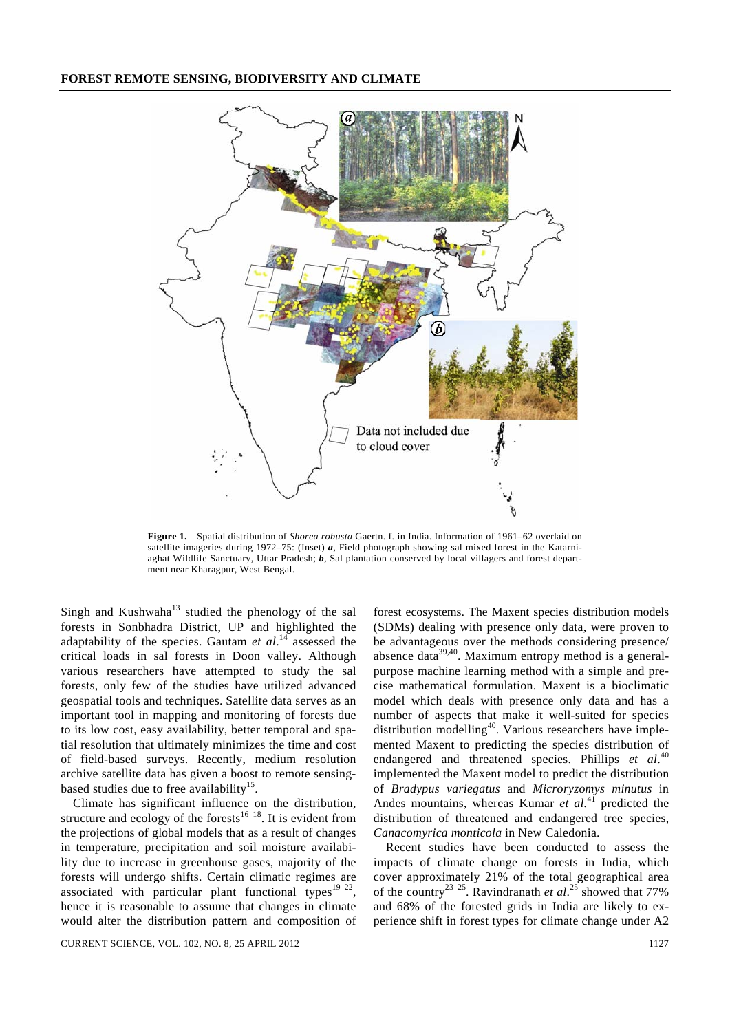

**Figure 1.** Spatial distribution of *Shorea robusta* Gaertn. f. in India. Information of 1961–62 overlaid on satellite imageries during 1972–75: (Inset) *a*, Field photograph showing sal mixed forest in the Katarniaghat Wildlife Sanctuary, Uttar Pradesh; *b*, Sal plantation conserved by local villagers and forest department near Kharagpur, West Bengal.

Singh and Kushwaha<sup>13</sup> studied the phenology of the sal forests in Sonbhadra District, UP and highlighted the adaptability of the species. Gautam *et al*. 14 assessed the critical loads in sal forests in Doon valley. Although various researchers have attempted to study the sal forests, only few of the studies have utilized advanced geospatial tools and techniques. Satellite data serves as an important tool in mapping and monitoring of forests due to its low cost, easy availability, better temporal and spatial resolution that ultimately minimizes the time and cost of field-based surveys. Recently, medium resolution archive satellite data has given a boost to remote sensingbased studies due to free availability<sup>15</sup>.

 Climate has significant influence on the distribution, structure and ecology of the forests<sup>16–18</sup>. It is evident from the projections of global models that as a result of changes in temperature, precipitation and soil moisture availability due to increase in greenhouse gases, majority of the forests will undergo shifts. Certain climatic regimes are associated with particular plant functional types<sup>19–22</sup>, hence it is reasonable to assume that changes in climate would alter the distribution pattern and composition of

(SDMs) dealing with presence only data, were proven to be advantageous over the methods considering presence/ absence data<sup>39,40</sup>. Maximum entropy method is a generalpurpose machine learning method with a simple and precise mathematical formulation. Maxent is a bioclimatic model which deals with presence only data and has a number of aspects that make it well-suited for species distribution modelling<sup>40</sup>. Various researchers have implemented Maxent to predicting the species distribution of endangered and threatened species. Phillips *et al*. 40 implemented the Maxent model to predict the distribution of *Bradypus variegatus* and *Microryzomys minutus* in Andes mountains, whereas Kumar *et al.*41 predicted the distribution of threatened and endangered tree species, *Canacomyrica monticola* in New Caledonia.

forest ecosystems. The Maxent species distribution models

 Recent studies have been conducted to assess the impacts of climate change on forests in India, which cover approximately 21% of the total geographical area of the country23–25. Ravindranath *et al*. 25 showed that 77% and 68% of the forested grids in India are likely to experience shift in forest types for climate change under A2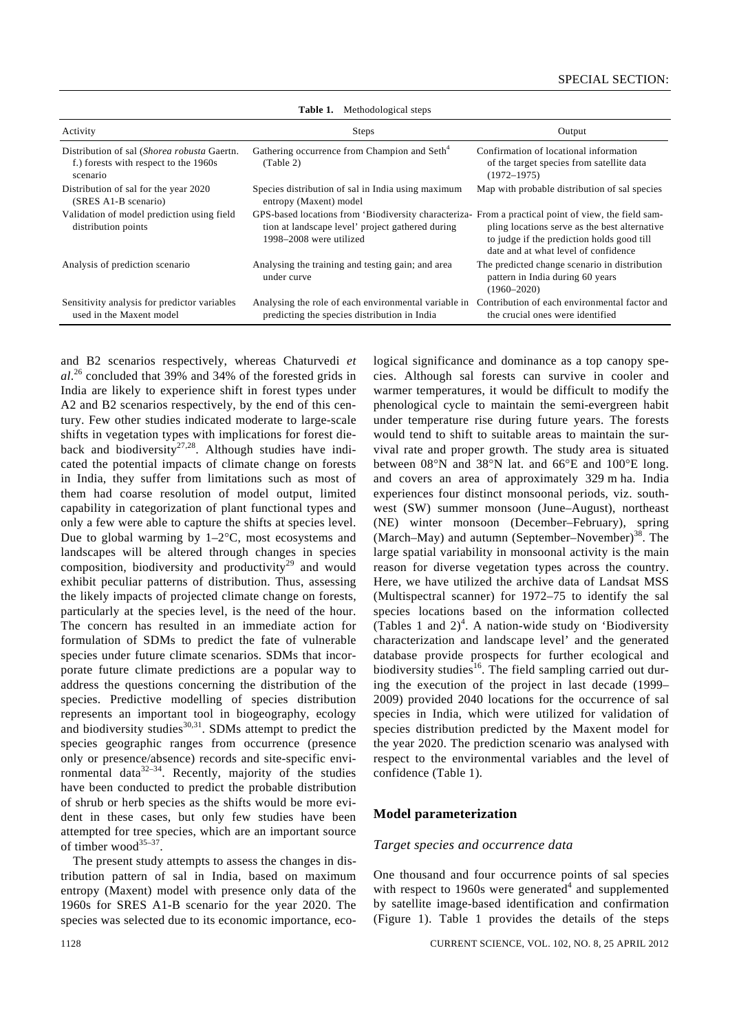| Activity                                                                                         | Steps                                                                                                                                                                              | Output                                                                                                                              |
|--------------------------------------------------------------------------------------------------|------------------------------------------------------------------------------------------------------------------------------------------------------------------------------------|-------------------------------------------------------------------------------------------------------------------------------------|
| Distribution of sal (Shorea robusta Gaertn.<br>f.) forests with respect to the 1960s<br>scenario | Gathering occurrence from Champion and Seth <sup>4</sup><br>(Table 2)                                                                                                              | Confirmation of locational information<br>of the target species from satellite data<br>$(1972 - 1975)$                              |
| Distribution of sal for the year 2020<br>(SRES A1-B scenario)                                    | Species distribution of sal in India using maximum<br>entropy (Maxent) model                                                                                                       | Map with probable distribution of sal species                                                                                       |
| Validation of model prediction using field<br>distribution points                                | GPS-based locations from 'Biodiversity characteriza- From a practical point of view, the field sam-<br>tion at landscape level' project gathered during<br>1998–2008 were utilized | pling locations serve as the best alternative<br>to judge if the prediction holds good till<br>date and at what level of confidence |
| Analysis of prediction scenario                                                                  | Analysing the training and testing gain; and area<br>under curve                                                                                                                   | The predicted change scenario in distribution<br>pattern in India during 60 years<br>$(1960 - 2020)$                                |
| Sensitivity analysis for predictor variables<br>used in the Maxent model                         | Analysing the role of each environmental variable in<br>predicting the species distribution in India                                                                               | Contribution of each environmental factor and<br>the crucial ones were identified                                                   |

**Table 1.** Methodological steps

and B2 scenarios respectively, whereas Chaturvedi *et al*. 26 concluded that 39% and 34% of the forested grids in India are likely to experience shift in forest types under A2 and B2 scenarios respectively, by the end of this century. Few other studies indicated moderate to large-scale shifts in vegetation types with implications for forest dieback and biodiversity<sup>27,28</sup>. Although studies have indicated the potential impacts of climate change on forests in India, they suffer from limitations such as most of them had coarse resolution of model output, limited capability in categorization of plant functional types and only a few were able to capture the shifts at species level. Due to global warming by  $1-2$ °C, most ecosystems and landscapes will be altered through changes in species composition, biodiversity and productivity<sup>29</sup> and would exhibit peculiar patterns of distribution. Thus, assessing the likely impacts of projected climate change on forests, particularly at the species level, is the need of the hour. The concern has resulted in an immediate action for formulation of SDMs to predict the fate of vulnerable species under future climate scenarios. SDMs that incorporate future climate predictions are a popular way to address the questions concerning the distribution of the species. Predictive modelling of species distribution represents an important tool in biogeography, ecology and biodiversity studies $^{30,31}$ . SDMs attempt to predict the species geographic ranges from occurrence (presence only or presence/absence) records and site-specific environmental data $32-34$ . Recently, majority of the studies have been conducted to predict the probable distribution of shrub or herb species as the shifts would be more evident in these cases, but only few studies have been attempted for tree species, which are an important source of timber wood $35-37$ .

 The present study attempts to assess the changes in distribution pattern of sal in India, based on maximum entropy (Maxent) model with presence only data of the 1960s for SRES A1-B scenario for the year 2020. The species was selected due to its economic importance, ecological significance and dominance as a top canopy species. Although sal forests can survive in cooler and warmer temperatures, it would be difficult to modify the phenological cycle to maintain the semi-evergreen habit under temperature rise during future years. The forests would tend to shift to suitable areas to maintain the survival rate and proper growth. The study area is situated between 08°N and 38°N lat. and 66°E and 100°E long. and covers an area of approximately 329 m ha. India experiences four distinct monsoonal periods, viz. southwest (SW) summer monsoon (June–August), northeast (NE) winter monsoon (December–February), spring (March–May) and autumn (September–November) $^{38}$ . The large spatial variability in monsoonal activity is the main reason for diverse vegetation types across the country. Here, we have utilized the archive data of Landsat MSS (Multispectral scanner) for 1972–75 to identify the sal species locations based on the information collected (Tables 1 and  $2)^4$ . A nation-wide study on 'Biodiversity characterization and landscape level' and the generated database provide prospects for further ecological and biodiversity studies<sup>16</sup>. The field sampling carried out during the execution of the project in last decade (1999– 2009) provided 2040 locations for the occurrence of sal species in India, which were utilized for validation of species distribution predicted by the Maxent model for the year 2020. The prediction scenario was analysed with respect to the environmental variables and the level of confidence (Table 1).

#### **Model parameterization**

#### *Target species and occurrence data*

One thousand and four occurrence points of sal species with respect to 1960s were generated<sup>4</sup> and supplemented by satellite image-based identification and confirmation (Figure 1). Table 1 provides the details of the steps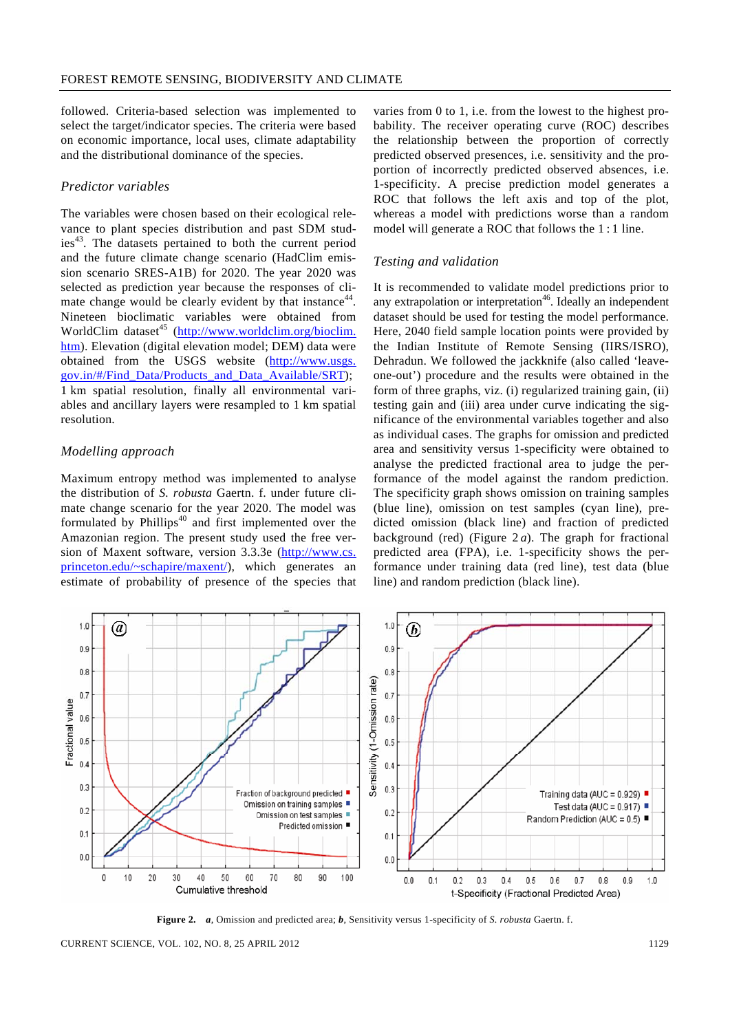followed. Criteria-based selection was implemented to select the target/indicator species. The criteria were based on economic importance, local uses, climate adaptability and the distributional dominance of the species.

# *Predictor variables*

The variables were chosen based on their ecological relevance to plant species distribution and past SDM studies<sup>43</sup>. The datasets pertained to both the current period and the future climate change scenario (HadClim emission scenario SRES-A1B) for 2020. The year 2020 was selected as prediction year because the responses of climate change would be clearly evident by that instance<sup>44</sup>. Nineteen bioclimatic variables were obtained from WorldClim dataset<sup>45</sup> (http://www.worldclim.org/bioclim. htm). Elevation (digital elevation model; DEM) data were obtained from the USGS website (http://www.usgs. gov.in/#/Find\_Data/Products\_and\_Data\_Available/SRT); 1 km spatial resolution, finally all environmental variables and ancillary layers were resampled to 1 km spatial resolution.

# *Modelling approach*

Maximum entropy method was implemented to analyse the distribution of *S. robusta* Gaertn. f. under future climate change scenario for the year 2020. The model was formulated by Phillips<sup>40</sup> and first implemented over the Amazonian region. The present study used the free version of Maxent software, version 3.3.3e (http://www.cs. princeton.edu/~schapire/maxent/), which generates an estimate of probability of presence of the species that

varies from 0 to 1, i.e. from the lowest to the highest probability. The receiver operating curve (ROC) describes the relationship between the proportion of correctly predicted observed presences, i.e. sensitivity and the proportion of incorrectly predicted observed absences, i.e. 1-specificity. A precise prediction model generates a ROC that follows the left axis and top of the plot, whereas a model with predictions worse than a random model will generate a ROC that follows the 1 : 1 line.

## *Testing and validation*

It is recommended to validate model predictions prior to any extrapolation or interpretation<sup>46</sup>. Ideally an independent dataset should be used for testing the model performance. Here, 2040 field sample location points were provided by the Indian Institute of Remote Sensing (IIRS/ISRO), Dehradun. We followed the jackknife (also called 'leaveone-out') procedure and the results were obtained in the form of three graphs, viz. (i) regularized training gain, (ii) testing gain and (iii) area under curve indicating the significance of the environmental variables together and also as individual cases. The graphs for omission and predicted area and sensitivity versus 1-specificity were obtained to analyse the predicted fractional area to judge the performance of the model against the random prediction. The specificity graph shows omission on training samples (blue line), omission on test samples (cyan line), predicted omission (black line) and fraction of predicted background (red) (Figure 2 *a*). The graph for fractional predicted area (FPA), i.e. 1-specificity shows the performance under training data (red line), test data (blue line) and random prediction (black line).



**Figure 2.** *a*, Omission and predicted area; *b*, Sensitivity versus 1-specificity of *S. robusta* Gaertn. f.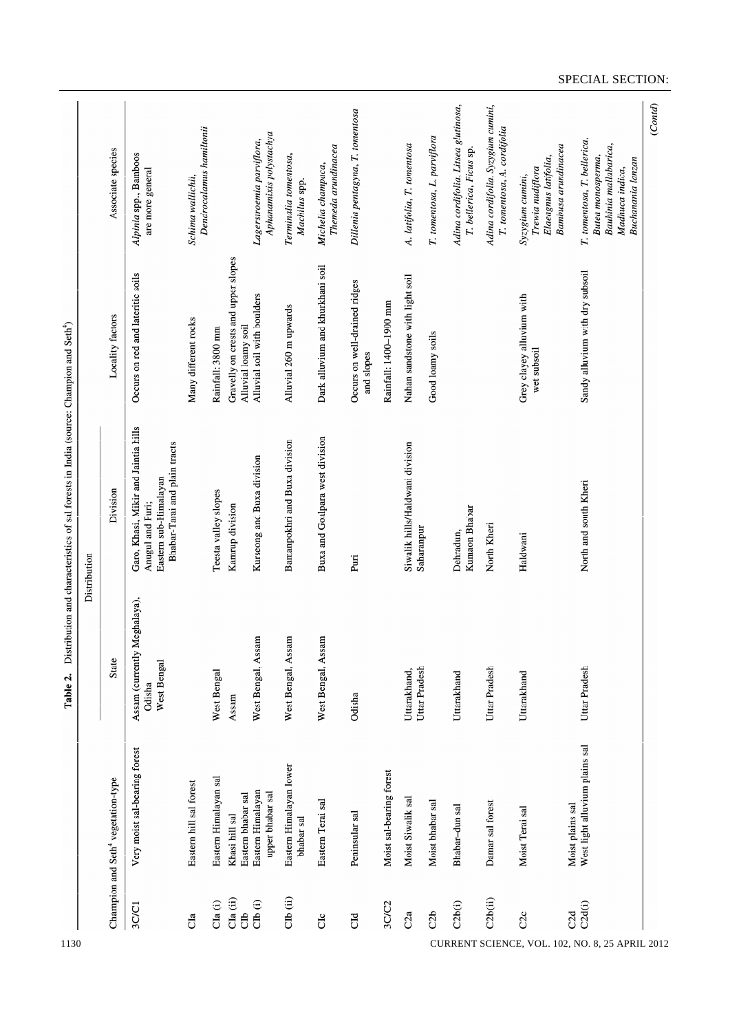| Adina cordifolia, Litsea glutinosa,<br>Adina cordifolia, Syzygium cumini,<br>Dillenia pentagyna, T. tomentosa<br>Dendrocalamus hamittonii<br>T. tomentosa, A. cordifolia<br>Aphanamixis polystachya<br>T. tomentosa, L. parviflora<br>T. tomentosa, T. bellerica,<br>Lagerstroemia parviflora,<br>A. latifolia, T. tomentosa<br>Bauhinia mallabarica,<br>Bambusa arundinacea<br>Themeda arundinacea<br>Associate species<br>T. bellerica, Ficus sp.<br>Alpinia spp., Bamboos<br>Terminalia tomentosa,<br>Elaeagnus latifolia,<br>Butea monosperma,<br><b>Buchanania</b> lanzan<br>Michelia champaca,<br>Trewia nudiflora<br>Madhuca indica,<br>are more general<br>Syzygium cumini,<br>Schima wallichii,<br>Machilus spp.<br>Gravelly on crests and upper slopes<br>Dark alluvium and khurkhani soil<br>Sandy alluvium with dry subsoil<br>Occurs on red and lateritic soils<br>Nahan sandstone with light soil<br>Occurs on well-drained ridges<br>Alluvial soil with boulders<br>Grey clayey alluvium with<br>Rainfall: 1400-1900 mm<br>Alluvial 260 m upwards<br>Locality factors<br>Many different rocks<br>Alluvial loamy soil<br>Rainfall: 3800 mm<br>Good loamy soils<br>wet subsoil<br>and slopes<br>Garo, Khasi, Mikir and Jaintia hills<br>Buxa and Goalpara west division<br>Bamanpokhri and Buxa division<br>Bhabar-Tarai and plain tracts<br>Siwalik hills/Haldwani division<br>Kurseong and Buxa division<br>Eastern sub-Himalayan<br>North and south Kheri<br>Division<br>Teesta valley slopes<br>Anugul and Puri;<br>Kamrup division<br>Kumaon Bhabar<br>North Kheri<br>Saharanpur<br>Dehradun,<br>Haldwani<br>Puri<br>Assam (currently Meghalaya),<br>West Bengal, Assam<br>West Bengal, Assam<br>West Bengal, Assam<br><b>State</b><br>West Bengal<br>Uttar Pradesh<br>Uttar Pradesh<br>Uttar Pradesh<br>West Bengal<br>Uttarakhand,<br>Uttarakhand<br>Uttarakhand<br>Odisha<br>Odisha<br>Assam<br>West light alluvium plains sal<br>Very moist sal-bearing forest<br>Eastern Himalayan lower<br>Moist sal-bearing forest<br>Eastern Himalayan sal<br>Champion and Seth <sup>4</sup> vegetation-type<br>Eastern hill sal forest<br>Eastern Himalayan<br>upper bhabar sal<br>Eastern bhabar sal<br>Moist Siwalik sal<br>Eastern Terai sal<br>Moist bhabar sal<br>Damar sal forest<br>Moist plains sal<br>Bhabar-dun sal<br>Moist Terai sal<br>Peninsular sal<br>Khasi hill sal<br>bhabar sal<br>CIb (ii)<br>$\mathbf{C1a}$ (ii)<br>C2b(ii)<br>C1a(i)<br>CDb(i)<br>3C/C2<br>C2b(i)<br>C <sub>2</sub> d(i)<br>3C/C1<br>C2a<br>C2d<br>C2b<br>đ<br>C2c<br>C1d<br>Сc<br>da<br>CURRENT SCIENCE, VOL. 102, NO. 8, 25 APRIL 2012 | 1130 | Table 2. | Distribution and characteristics of sal forests in India (source: Champion and Seth <sup>4</sup> )<br>Distribution |  |
|-------------------------------------------------------------------------------------------------------------------------------------------------------------------------------------------------------------------------------------------------------------------------------------------------------------------------------------------------------------------------------------------------------------------------------------------------------------------------------------------------------------------------------------------------------------------------------------------------------------------------------------------------------------------------------------------------------------------------------------------------------------------------------------------------------------------------------------------------------------------------------------------------------------------------------------------------------------------------------------------------------------------------------------------------------------------------------------------------------------------------------------------------------------------------------------------------------------------------------------------------------------------------------------------------------------------------------------------------------------------------------------------------------------------------------------------------------------------------------------------------------------------------------------------------------------------------------------------------------------------------------------------------------------------------------------------------------------------------------------------------------------------------------------------------------------------------------------------------------------------------------------------------------------------------------------------------------------------------------------------------------------------------------------------------------------------------------------------------------------------------------------------------------------------------------------------------------------------------------------------------------------------------------------------------------------------------------------------------------------------------------------------------------------------------------------------------------------------------------------------------------------------------------------------------------------------------------------------------------------------------------------------|------|----------|--------------------------------------------------------------------------------------------------------------------|--|
|                                                                                                                                                                                                                                                                                                                                                                                                                                                                                                                                                                                                                                                                                                                                                                                                                                                                                                                                                                                                                                                                                                                                                                                                                                                                                                                                                                                                                                                                                                                                                                                                                                                                                                                                                                                                                                                                                                                                                                                                                                                                                                                                                                                                                                                                                                                                                                                                                                                                                                                                                                                                                                           |      |          |                                                                                                                    |  |
|                                                                                                                                                                                                                                                                                                                                                                                                                                                                                                                                                                                                                                                                                                                                                                                                                                                                                                                                                                                                                                                                                                                                                                                                                                                                                                                                                                                                                                                                                                                                                                                                                                                                                                                                                                                                                                                                                                                                                                                                                                                                                                                                                                                                                                                                                                                                                                                                                                                                                                                                                                                                                                           |      |          |                                                                                                                    |  |
|                                                                                                                                                                                                                                                                                                                                                                                                                                                                                                                                                                                                                                                                                                                                                                                                                                                                                                                                                                                                                                                                                                                                                                                                                                                                                                                                                                                                                                                                                                                                                                                                                                                                                                                                                                                                                                                                                                                                                                                                                                                                                                                                                                                                                                                                                                                                                                                                                                                                                                                                                                                                                                           |      |          |                                                                                                                    |  |
|                                                                                                                                                                                                                                                                                                                                                                                                                                                                                                                                                                                                                                                                                                                                                                                                                                                                                                                                                                                                                                                                                                                                                                                                                                                                                                                                                                                                                                                                                                                                                                                                                                                                                                                                                                                                                                                                                                                                                                                                                                                                                                                                                                                                                                                                                                                                                                                                                                                                                                                                                                                                                                           |      |          |                                                                                                                    |  |
|                                                                                                                                                                                                                                                                                                                                                                                                                                                                                                                                                                                                                                                                                                                                                                                                                                                                                                                                                                                                                                                                                                                                                                                                                                                                                                                                                                                                                                                                                                                                                                                                                                                                                                                                                                                                                                                                                                                                                                                                                                                                                                                                                                                                                                                                                                                                                                                                                                                                                                                                                                                                                                           |      |          |                                                                                                                    |  |
|                                                                                                                                                                                                                                                                                                                                                                                                                                                                                                                                                                                                                                                                                                                                                                                                                                                                                                                                                                                                                                                                                                                                                                                                                                                                                                                                                                                                                                                                                                                                                                                                                                                                                                                                                                                                                                                                                                                                                                                                                                                                                                                                                                                                                                                                                                                                                                                                                                                                                                                                                                                                                                           |      |          |                                                                                                                    |  |
|                                                                                                                                                                                                                                                                                                                                                                                                                                                                                                                                                                                                                                                                                                                                                                                                                                                                                                                                                                                                                                                                                                                                                                                                                                                                                                                                                                                                                                                                                                                                                                                                                                                                                                                                                                                                                                                                                                                                                                                                                                                                                                                                                                                                                                                                                                                                                                                                                                                                                                                                                                                                                                           |      |          |                                                                                                                    |  |
|                                                                                                                                                                                                                                                                                                                                                                                                                                                                                                                                                                                                                                                                                                                                                                                                                                                                                                                                                                                                                                                                                                                                                                                                                                                                                                                                                                                                                                                                                                                                                                                                                                                                                                                                                                                                                                                                                                                                                                                                                                                                                                                                                                                                                                                                                                                                                                                                                                                                                                                                                                                                                                           |      |          |                                                                                                                    |  |
|                                                                                                                                                                                                                                                                                                                                                                                                                                                                                                                                                                                                                                                                                                                                                                                                                                                                                                                                                                                                                                                                                                                                                                                                                                                                                                                                                                                                                                                                                                                                                                                                                                                                                                                                                                                                                                                                                                                                                                                                                                                                                                                                                                                                                                                                                                                                                                                                                                                                                                                                                                                                                                           |      |          |                                                                                                                    |  |
|                                                                                                                                                                                                                                                                                                                                                                                                                                                                                                                                                                                                                                                                                                                                                                                                                                                                                                                                                                                                                                                                                                                                                                                                                                                                                                                                                                                                                                                                                                                                                                                                                                                                                                                                                                                                                                                                                                                                                                                                                                                                                                                                                                                                                                                                                                                                                                                                                                                                                                                                                                                                                                           |      |          |                                                                                                                    |  |
|                                                                                                                                                                                                                                                                                                                                                                                                                                                                                                                                                                                                                                                                                                                                                                                                                                                                                                                                                                                                                                                                                                                                                                                                                                                                                                                                                                                                                                                                                                                                                                                                                                                                                                                                                                                                                                                                                                                                                                                                                                                                                                                                                                                                                                                                                                                                                                                                                                                                                                                                                                                                                                           |      |          |                                                                                                                    |  |
|                                                                                                                                                                                                                                                                                                                                                                                                                                                                                                                                                                                                                                                                                                                                                                                                                                                                                                                                                                                                                                                                                                                                                                                                                                                                                                                                                                                                                                                                                                                                                                                                                                                                                                                                                                                                                                                                                                                                                                                                                                                                                                                                                                                                                                                                                                                                                                                                                                                                                                                                                                                                                                           |      |          |                                                                                                                    |  |
|                                                                                                                                                                                                                                                                                                                                                                                                                                                                                                                                                                                                                                                                                                                                                                                                                                                                                                                                                                                                                                                                                                                                                                                                                                                                                                                                                                                                                                                                                                                                                                                                                                                                                                                                                                                                                                                                                                                                                                                                                                                                                                                                                                                                                                                                                                                                                                                                                                                                                                                                                                                                                                           |      |          |                                                                                                                    |  |
|                                                                                                                                                                                                                                                                                                                                                                                                                                                                                                                                                                                                                                                                                                                                                                                                                                                                                                                                                                                                                                                                                                                                                                                                                                                                                                                                                                                                                                                                                                                                                                                                                                                                                                                                                                                                                                                                                                                                                                                                                                                                                                                                                                                                                                                                                                                                                                                                                                                                                                                                                                                                                                           |      |          |                                                                                                                    |  |
|                                                                                                                                                                                                                                                                                                                                                                                                                                                                                                                                                                                                                                                                                                                                                                                                                                                                                                                                                                                                                                                                                                                                                                                                                                                                                                                                                                                                                                                                                                                                                                                                                                                                                                                                                                                                                                                                                                                                                                                                                                                                                                                                                                                                                                                                                                                                                                                                                                                                                                                                                                                                                                           |      |          |                                                                                                                    |  |
|                                                                                                                                                                                                                                                                                                                                                                                                                                                                                                                                                                                                                                                                                                                                                                                                                                                                                                                                                                                                                                                                                                                                                                                                                                                                                                                                                                                                                                                                                                                                                                                                                                                                                                                                                                                                                                                                                                                                                                                                                                                                                                                                                                                                                                                                                                                                                                                                                                                                                                                                                                                                                                           |      |          |                                                                                                                    |  |

SPECIAL SECTION: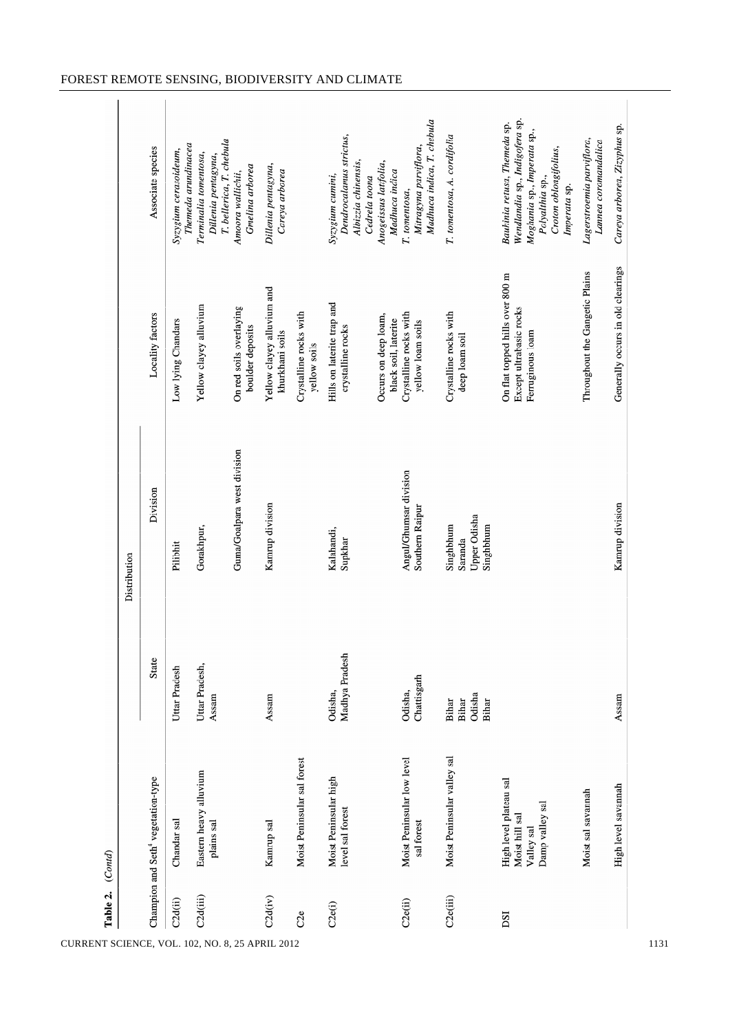| Table 2.              | (Contd)                                                                   |                                   |                                                   |                                                                                |                                                                                                                                                           |
|-----------------------|---------------------------------------------------------------------------|-----------------------------------|---------------------------------------------------|--------------------------------------------------------------------------------|-----------------------------------------------------------------------------------------------------------------------------------------------------------|
|                       |                                                                           |                                   | Distribution                                      |                                                                                |                                                                                                                                                           |
|                       | Champion and Seth <sup>4</sup> vegetation-type                            | State                             | Division                                          | Locality factors                                                               | Associate species                                                                                                                                         |
| C2d(ii)               | Chandar sal                                                               | Uttar Pradesh                     | Pilibhit                                          | Low lying Chandars                                                             | Themeda arundinacea<br>Syzygium cerasoideum,                                                                                                              |
| C2d(iii)              | Eastern heavy alluvium<br>plains sal                                      | Uttar Pradesh,<br>Assam           | Gorakhpur,                                        | Yellow clayey alluvium                                                         | T. bellerica, T. chebula<br>Terminalia tomentosa,<br>Dillenia pentagyna,                                                                                  |
|                       |                                                                           |                                   | Guna/Goalpara west division                       | On red soils overlaying<br>boulder deposits                                    | Gmelina arborea<br>Amoora wallichii,                                                                                                                      |
| C2d(iv)               | Kamrup sal                                                                | Assam                             | Kamrup division                                   | Yellow clayey alluvium and<br>khurkhani soils                                  | Dillenia pentagyna,<br>Careya arborea                                                                                                                     |
| C2e                   | Moist Peninsular sal forest                                               |                                   |                                                   | Crystalline rocks with<br>yellow soils                                         |                                                                                                                                                           |
| C2e(i)                | Moist Peninsular high<br>level sal forest                                 | Madhya Pradesh<br>Odisha,         | Kalahandi,<br>Supkhar                             | Hills on laterite trap and<br>crystalline rocks                                | Dendrocalamus strictus,<br>Albizzia chinensis,<br>Syzygium cumini,<br>Cedrela toona                                                                       |
|                       |                                                                           |                                   |                                                   | Occurs on deep loam,<br>black soil, laterite                                   | Anogeissus latifolia,<br>Madhuca indica                                                                                                                   |
| C <sub>2</sub> e(ii)  | Moist Peninsular low level<br>sal forest                                  | Chattisgarh<br>Odisha,            | Angul/Ghumsar division<br>Southern Raipur         | Crystalline rocks with<br>yellow loam soils                                    | Madhuca indica, T. chebula<br>Mitragyna parviflora,<br>T. tomentosa,                                                                                      |
| C <sub>2</sub> e(iii) | Moist Peninsular valley sal                                               | Odisha<br>Bihar<br>Bihar<br>Bihar | Upper Odisha<br>Singhbhum<br>Singhbhum<br>Saranda | Crystalline rocks with<br>deep loam soil                                       | T. tomentosa, A. cordifolia                                                                                                                               |
| DSI                   | High level plateau sal<br>Damp valley sal<br>Moist hill sal<br>Valley sal |                                   |                                                   | On flat topped hills over 800 m<br>Except ultrabasic rocks<br>Ferruginous loam | Wendlandia sp., Indigofera sp.<br>Bauhinia retusa, Themeda sp.<br>Moghania sp., Imperata sp.,<br>Croton oblongifolius,<br>Polyalthia sp.,<br>Imperata sp. |
|                       | Moist sal savannah                                                        |                                   |                                                   | Throughout the Gangetic Plains                                                 | Lagerstroemia parviflora,<br>Lannea coromandalica                                                                                                         |
|                       | High level savannah                                                       | Assam                             | Kamrup division                                   | Generally occurs in old clearings                                              | Careya arborea, Zizyphus sp.                                                                                                                              |

CURRENT SCIENCE, VOL. 102, NO. 8, 25 APRIL 2012 1131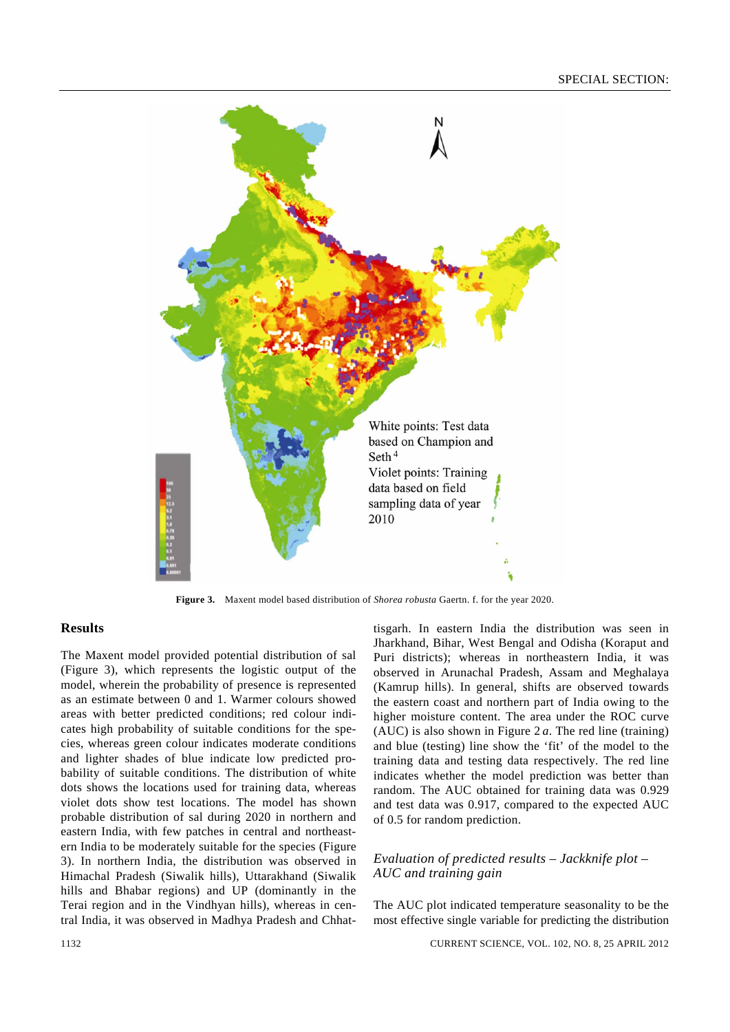

**Figure 3.** Maxent model based distribution of *Shorea robusta* Gaertn. f. for the year 2020.

# **Results**

The Maxent model provided potential distribution of sal (Figure 3), which represents the logistic output of the model, wherein the probability of presence is represented as an estimate between 0 and 1. Warmer colours showed areas with better predicted conditions; red colour indicates high probability of suitable conditions for the species, whereas green colour indicates moderate conditions and lighter shades of blue indicate low predicted probability of suitable conditions. The distribution of white dots shows the locations used for training data, whereas violet dots show test locations. The model has shown probable distribution of sal during 2020 in northern and eastern India, with few patches in central and northeastern India to be moderately suitable for the species (Figure 3). In northern India, the distribution was observed in Himachal Pradesh (Siwalik hills), Uttarakhand (Siwalik hills and Bhabar regions) and UP (dominantly in the Terai region and in the Vindhyan hills), whereas in central India, it was observed in Madhya Pradesh and Chhattisgarh. In eastern India the distribution was seen in Jharkhand, Bihar, West Bengal and Odisha (Koraput and Puri districts); whereas in northeastern India, it was observed in Arunachal Pradesh, Assam and Meghalaya (Kamrup hills). In general, shifts are observed towards the eastern coast and northern part of India owing to the higher moisture content. The area under the ROC curve (AUC) is also shown in Figure 2 *a*. The red line (training) and blue (testing) line show the 'fit' of the model to the training data and testing data respectively. The red line indicates whether the model prediction was better than random. The AUC obtained for training data was 0.929 and test data was 0.917, compared to the expected AUC of 0.5 for random prediction.

## *Evaluation of predicted results – Jackknife plot – AUC and training gain*

The AUC plot indicated temperature seasonality to be the most effective single variable for predicting the distribution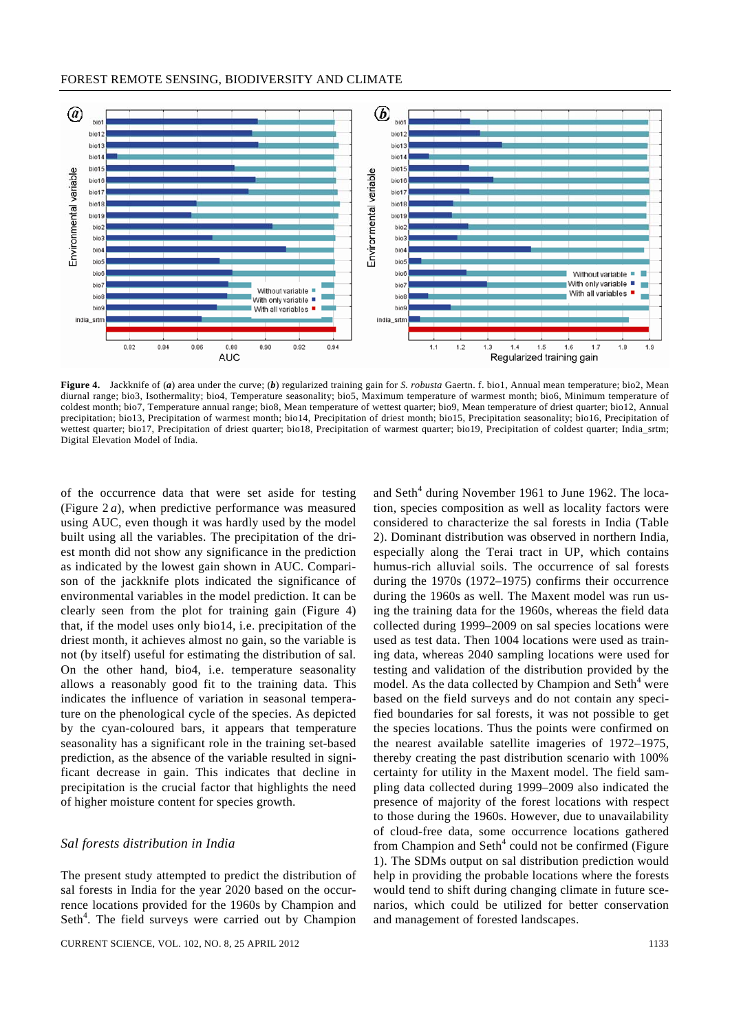

**Figure 4.** Jackknife of (*a*) area under the curve; (*b*) regularized training gain for *S. robusta* Gaertn. f. bio1, Annual mean temperature; bio2, Mean diurnal range; bio3, Isothermality; bio4, Temperature seasonality; bio5, Maximum temperature of warmest month; bio6, Minimum temperature of coldest month; bio7, Temperature annual range; bio8, Mean temperature of wettest quarter; bio9, Mean temperature of driest quarter; bio12, Annual precipitation; bio13, Precipitation of warmest month; bio14, Precipitation of driest month; bio15, Precipitation seasonality; bio16, Precipitation of wettest quarter; bio17, Precipitation of driest quarter; bio18, Precipitation of warmest quarter; bio19, Precipitation of coldest quarter; India\_srtm; Digital Elevation Model of India.

of the occurrence data that were set aside for testing (Figure 2 *a*), when predictive performance was measured using AUC, even though it was hardly used by the model built using all the variables. The precipitation of the driest month did not show any significance in the prediction as indicated by the lowest gain shown in AUC. Comparison of the jackknife plots indicated the significance of environmental variables in the model prediction. It can be clearly seen from the plot for training gain (Figure 4) that, if the model uses only bio14, i.e. precipitation of the driest month, it achieves almost no gain, so the variable is not (by itself) useful for estimating the distribution of sal*.* On the other hand, bio4, i.e. temperature seasonality allows a reasonably good fit to the training data. This indicates the influence of variation in seasonal temperature on the phenological cycle of the species. As depicted by the cyan-coloured bars, it appears that temperature seasonality has a significant role in the training set-based prediction, as the absence of the variable resulted in significant decrease in gain. This indicates that decline in precipitation is the crucial factor that highlights the need of higher moisture content for species growth.

## *Sal forests distribution in India*

The present study attempted to predict the distribution of sal forests in India for the year 2020 based on the occurrence locations provided for the 1960s by Champion and Seth<sup>4</sup>. The field surveys were carried out by Champion

and Seth $4$  during November 1961 to June 1962. The location, species composition as well as locality factors were considered to characterize the sal forests in India (Table 2). Dominant distribution was observed in northern India, especially along the Terai tract in UP, which contains humus-rich alluvial soils. The occurrence of sal forests during the 1970s (1972–1975) confirms their occurrence during the 1960s as well. The Maxent model was run using the training data for the 1960s, whereas the field data collected during 1999–2009 on sal species locations were used as test data. Then 1004 locations were used as training data, whereas 2040 sampling locations were used for testing and validation of the distribution provided by the model. As the data collected by Champion and Seth $4$  were based on the field surveys and do not contain any specified boundaries for sal forests, it was not possible to get the species locations. Thus the points were confirmed on the nearest available satellite imageries of 1972–1975, thereby creating the past distribution scenario with 100% certainty for utility in the Maxent model. The field sampling data collected during 1999–2009 also indicated the presence of majority of the forest locations with respect to those during the 1960s. However, due to unavailability of cloud-free data, some occurrence locations gathered from Champion and Seth $4$  could not be confirmed (Figure 1). The SDMs output on sal distribution prediction would help in providing the probable locations where the forests would tend to shift during changing climate in future scenarios, which could be utilized for better conservation and management of forested landscapes.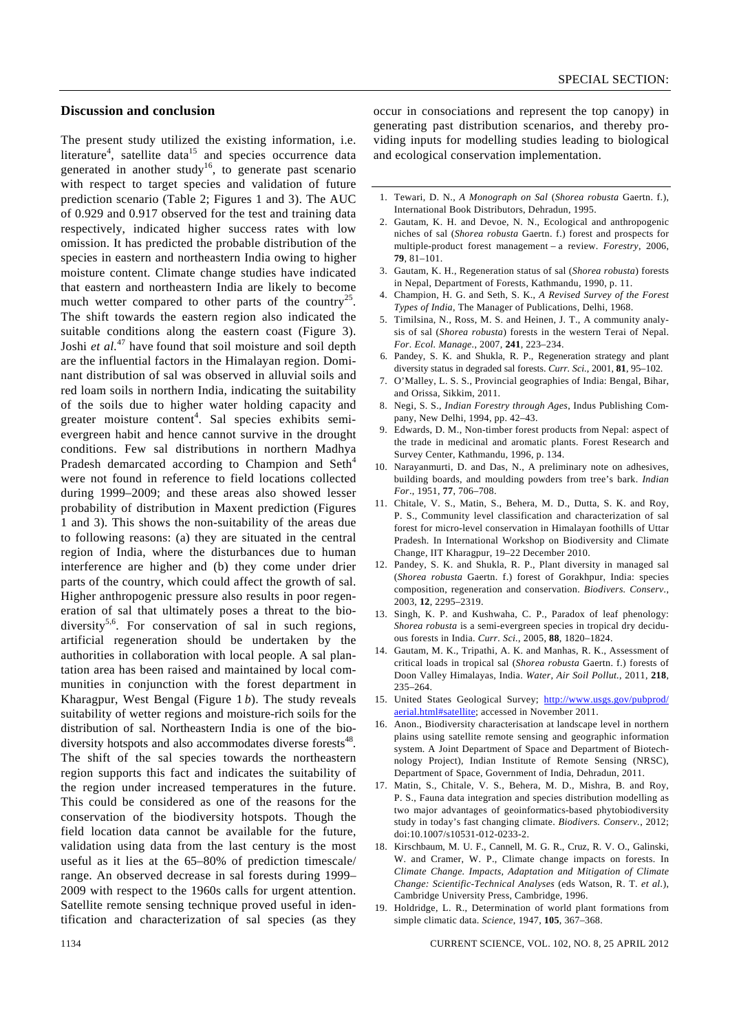#### **Discussion and conclusion**

The present study utilized the existing information, i.e. literature<sup>4</sup>, satellite data<sup>15</sup> and species occurrence data generated in another study<sup>16</sup>, to generate past scenario with respect to target species and validation of future prediction scenario (Table 2; Figures 1 and 3). The AUC of 0.929 and 0.917 observed for the test and training data respectively, indicated higher success rates with low omission. It has predicted the probable distribution of the species in eastern and northeastern India owing to higher moisture content. Climate change studies have indicated that eastern and northeastern India are likely to become much wetter compared to other parts of the country<sup>25</sup>. The shift towards the eastern region also indicated the suitable conditions along the eastern coast (Figure 3). Joshi *et al.*47 have found that soil moisture and soil depth are the influential factors in the Himalayan region. Dominant distribution of sal was observed in alluvial soils and red loam soils in northern India, indicating the suitability of the soils due to higher water holding capacity and greater moisture content<sup>4</sup>. Sal species exhibits semievergreen habit and hence cannot survive in the drought conditions. Few sal distributions in northern Madhya Pradesh demarcated according to Champion and Seth<sup>4</sup> were not found in reference to field locations collected during 1999–2009; and these areas also showed lesser probability of distribution in Maxent prediction (Figures 1 and 3). This shows the non-suitability of the areas due to following reasons: (a) they are situated in the central region of India, where the disturbances due to human interference are higher and (b) they come under drier parts of the country, which could affect the growth of sal. Higher anthropogenic pressure also results in poor regeneration of sal that ultimately poses a threat to the biodiversity<sup>5,6</sup>. For conservation of sal in such regions, artificial regeneration should be undertaken by the authorities in collaboration with local people. A sal plantation area has been raised and maintained by local communities in conjunction with the forest department in Kharagpur, West Bengal (Figure 1 *b*). The study reveals suitability of wetter regions and moisture-rich soils for the distribution of sal. Northeastern India is one of the biodiversity hotspots and also accommodates diverse forests<sup>48</sup>. The shift of the sal species towards the northeastern region supports this fact and indicates the suitability of the region under increased temperatures in the future. This could be considered as one of the reasons for the conservation of the biodiversity hotspots. Though the field location data cannot be available for the future, validation using data from the last century is the most useful as it lies at the 65–80% of prediction timescale/ range. An observed decrease in sal forests during 1999– 2009 with respect to the 1960s calls for urgent attention. Satellite remote sensing technique proved useful in identification and characterization of sal species (as they

occur in consociations and represent the top canopy) in generating past distribution scenarios, and thereby providing inputs for modelling studies leading to biological and ecological conservation implementation.

- 1. Tewari, D. N., *A Monograph on Sal* (*Shorea robusta* Gaertn. f.), International Book Distributors, Dehradun, 1995.
- 2. Gautam, K. H. and Devoe, N. N., Ecological and anthropogenic niches of sal (*Shorea robusta* Gaertn. f.) forest and prospects for multiple-product forest management – a review. *Forestry*, 2006, **79**, 81–101.
- 3. Gautam, K. H., Regeneration status of sal (*Shorea robusta*) forests in Nepal, Department of Forests, Kathmandu, 1990, p. 11.
- 4. Champion, H. G. and Seth, S. K., *A Revised Survey of the Forest Types of India*, The Manager of Publications, Delhi, 1968.
- 5. Timilsina, N., Ross, M. S. and Heinen, J. T., A community analysis of sal (*Shorea robusta*) forests in the western Terai of Nepal. *For. Ecol. Manage.*, 2007, **241**, 223–234.
- 6. Pandey, S. K. and Shukla, R. P., Regeneration strategy and plant diversity status in degraded sal forests. *Curr. Sci.*, 2001, **81**, 95–102.
- 7. O'Malley, L. S. S., Provincial geographies of India: Bengal, Bihar, and Orissa, Sikkim, 2011.
- 8. Negi, S. S., *Indian Forestry through Ages*, Indus Publishing Company, New Delhi, 1994, pp. 42–43.
- 9. Edwards, D. M., Non-timber forest products from Nepal: aspect of the trade in medicinal and aromatic plants. Forest Research and Survey Center, Kathmandu, 1996, p. 134.
- 10. Narayanmurti, D. and Das, N., A preliminary note on adhesives, building boards, and moulding powders from tree's bark. *Indian For*., 1951, **77**, 706–708.
- 11. Chitale, V. S., Matin, S., Behera, M. D., Dutta, S. K. and Roy, P. S., Community level classification and characterization of sal forest for micro-level conservation in Himalayan foothills of Uttar Pradesh. In International Workshop on Biodiversity and Climate Change, IIT Kharagpur, 19–22 December 2010.
- 12. Pandey, S. K. and Shukla, R. P., Plant diversity in managed sal (*Shorea robusta* Gaertn. f.) forest of Gorakhpur, India: species composition, regeneration and conservation. *Biodivers. Conserv.*, 2003, **12**, 2295–2319.
- 13. Singh, K. P. and Kushwaha, C. P., Paradox of leaf phenology: *Shorea robusta* is a semi-evergreen species in tropical dry deciduous forests in India. *Curr. Sci.*, 2005, **88**, 1820–1824.
- 14. Gautam, M. K., Tripathi, A. K. and Manhas, R. K., Assessment of critical loads in tropical sal (*Shorea robusta* Gaertn. f.) forests of Doon Valley Himalayas, India. *Water, Air Soil Pollut.*, 2011, **218**, 235–264.
- 15. United States Geological Survey; http://www.usgs.gov/pubprod/ aerial.html#satellite; accessed in November 2011.
- 16. Anon., Biodiversity characterisation at landscape level in northern plains using satellite remote sensing and geographic information system. A Joint Department of Space and Department of Biotechnology Project), Indian Institute of Remote Sensing (NRSC), Department of Space, Government of India, Dehradun, 2011.
- 17. Matin, S., Chitale, V. S., Behera, M. D., Mishra, B. and Roy, P. S., Fauna data integration and species distribution modelling as two major advantages of geoinformatics-based phytobiodiversity study in today's fast changing climate. *Biodivers. Conserv.*, 2012; doi:10.1007/s10531-012-0233-2.
- 18. Kirschbaum, M. U. F., Cannell, M. G. R., Cruz, R. V. O., Galinski, W. and Cramer, W. P., Climate change impacts on forests. In *Climate Change. Impacts, Adaptation and Mitigation of Climate Change: Scientific-Technical Analyses* (eds Watson, R. T. *et al.*), Cambridge University Press, Cambridge, 1996.
- 19. Holdridge, L. R., Determination of world plant formations from simple climatic data. *Science*, 1947, **105**, 367–368.

1134 CURRENT SCIENCE, VOL. 102, NO. 8, 25 APRIL 2012